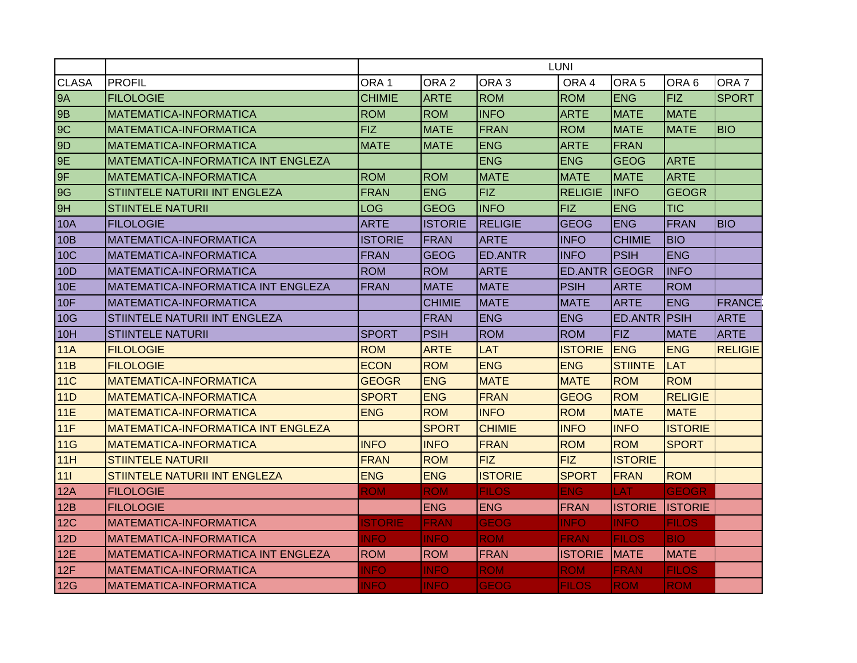|              |                                           |                  | <b>LUNI</b>      |                  |                      |                     |                 |                  |  |  |  |
|--------------|-------------------------------------------|------------------|------------------|------------------|----------------------|---------------------|-----------------|------------------|--|--|--|
| <b>CLASA</b> | <b>PROFIL</b>                             | ORA <sub>1</sub> | ORA <sub>2</sub> | ORA <sub>3</sub> | ORA <sub>4</sub>     | ORA <sub>5</sub>    | ORA 6           | ORA <sub>7</sub> |  |  |  |
| <b>9A</b>    | <b>FILOLOGIE</b>                          | <b>CHIMIE</b>    | <b>ARTE</b>      | <b>ROM</b>       | <b>ROM</b>           | <b>ENG</b>          | <b>FIZ</b>      | <b>SPORT</b>     |  |  |  |
| 9B           | <b>MATEMATICA-INFORMATICA</b>             | <b>ROM</b>       | <b>ROM</b>       | <b>INFO</b>      | <b>ARTE</b>          | <b>MATE</b>         | <b>MATE</b>     |                  |  |  |  |
| 9C           | MATEMATICA-INFORMATICA                    | <b>FIZ</b>       | <b>MATE</b>      | <b>FRAN</b>      | <b>ROM</b>           | <b>MATE</b>         | <b>MATE</b>     | <b>BIO</b>       |  |  |  |
| 9D           | MATEMATICA-INFORMATICA                    | <b>MATE</b>      | <b>MATE</b>      | <b>ENG</b>       | <b>ARTE</b>          | <b>FRAN</b>         |                 |                  |  |  |  |
| 9E           | MATEMATICA-INFORMATICA INT ENGLEZA        |                  |                  | <b>ENG</b>       | <b>ENG</b>           | <b>GEOG</b>         | <b>ARTE</b>     |                  |  |  |  |
| 9F           | MATEMATICA-INFORMATICA                    | <b>ROM</b>       | <b>ROM</b>       | <b>MATE</b>      | <b>MATE</b>          | <b>MATE</b>         | <b>ARTE</b>     |                  |  |  |  |
| 9G           | STIINTELE NATURII INT ENGLEZA             | <b>FRAN</b>      | <b>ENG</b>       | <b>FIZ</b>       | <b>RELIGIE</b>       | <b>INFO</b>         | <b>GEOGR</b>    |                  |  |  |  |
| 9H           | <b>STIINTELE NATURII</b>                  | <b>LOG</b>       | <b>GEOG</b>      | <b>INFO</b>      | <b>FIZ</b>           | <b>ENG</b>          | <b>TIC</b>      |                  |  |  |  |
| <b>10A</b>   | <b>FILOLOGIE</b>                          | <b>ARTE</b>      | <b>ISTORIE</b>   | <b>RELIGIE</b>   | <b>GEOG</b>          | <b>ENG</b>          | <b>FRAN</b>     | <b>BIO</b>       |  |  |  |
| 10B          | <b>MATEMATICA-INFORMATICA</b>             | <b>ISTORIE</b>   | FRAN             | <b>ARTE</b>      | <b>INFO</b>          | <b>CHIMIE</b>       | <b>BIO</b>      |                  |  |  |  |
| <b>10C</b>   | MATEMATICA-INFORMATICA                    | <b>FRAN</b>      | <b>GEOG</b>      | <b>ED.ANTR</b>   | <b>INFO</b>          | <b>PSIH</b>         | <b>ENG</b>      |                  |  |  |  |
| 10D          | MATEMATICA-INFORMATICA                    | <b>ROM</b>       | <b>ROM</b>       | <b>ARTE</b>      | <b>ED.ANTR GEOGR</b> |                     | <b>INFO</b>     |                  |  |  |  |
| <b>10E</b>   | MATEMATICA-INFORMATICA INT ENGLEZA        | <b>FRAN</b>      | <b>MATE</b>      | <b>MATE</b>      | <b>PSIH</b>          | <b>ARTE</b>         | <b>ROM</b>      |                  |  |  |  |
| 10F          | IMATEMATICA-INFORMATICA                   |                  | <b>CHIMIE</b>    | <b>MATE</b>      | <b>MATE</b>          | <b>ARTE</b>         | <b>ENG</b>      | <b>FRANCE</b>    |  |  |  |
| 10G          | STIINTELE NATURII INT ENGLEZA             |                  | <b>FRAN</b>      | <b>ENG</b>       | <b>ENG</b>           | <b>ED.ANTR PSIH</b> |                 | <b>ARTE</b>      |  |  |  |
| 10H          | <b>STIINTELE NATURII</b>                  | <b>SPORT</b>     | <b>PSIH</b>      | <b>ROM</b>       | <b>ROM</b>           | <b>FIZ</b>          | <b>MATE</b>     | <b>ARTE</b>      |  |  |  |
| 11A          | <b>FILOLOGIE</b>                          | <b>ROM</b>       | <b>ARTE</b>      | LAT              | <b>ISTORIE</b>       | <b>ENG</b>          | <b>ENG</b>      | <b>RELIGIE</b>   |  |  |  |
| 11B          | <b>FILOLOGIE</b>                          | <b>ECON</b>      | <b>ROM</b>       | <b>ENG</b>       | <b>ENG</b>           | <b>STIINTE</b>      | <b>LAT</b>      |                  |  |  |  |
| <b>11C</b>   | <b>MATEMATICA-INFORMATICA</b>             | <b>GEOGR</b>     | <b>ENG</b>       | <b>MATE</b>      | <b>MATE</b>          | <b>ROM</b>          | <b>ROM</b>      |                  |  |  |  |
| 11D          | <b>MATEMATICA-INFORMATICA</b>             | <b>SPORT</b>     | <b>ENG</b>       | <b>FRAN</b>      | <b>GEOG</b>          | <b>ROM</b>          | <b>RELIGIE</b>  |                  |  |  |  |
| 11E          | <b>MATEMATICA-INFORMATICA</b>             | <b>ENG</b>       | <b>ROM</b>       | <b>INFO</b>      | <b>ROM</b>           | <b>MATE</b>         | <b>MATE</b>     |                  |  |  |  |
| 11F          | <b>MATEMATICA-INFORMATICA INT ENGLEZA</b> |                  | <b>SPORT</b>     | <b>CHIMIE</b>    | <b>INFO</b>          | <b>INFO</b>         | <b>ISTORIE</b>  |                  |  |  |  |
| 11G          | <b>MATEMATICA-INFORMATICA</b>             | <b>INFO</b>      | <b>INFO</b>      | <b>FRAN</b>      | <b>ROM</b>           | <b>ROM</b>          | <b>SPORT</b>    |                  |  |  |  |
| 11H          | <b>STIINTELE NATURII</b>                  | <b>FRAN</b>      | <b>ROM</b>       | <b>FIZ</b>       | <b>FIZ</b>           | <b>ISTORIE</b>      |                 |                  |  |  |  |
| $111$        | STIINTELE NATURII INT ENGLEZA             | <b>ENG</b>       | <b>ENG</b>       | <b>ISTORIE</b>   | <b>SPORT</b>         | <b>FRAN</b>         | <b>ROM</b>      |                  |  |  |  |
| 12A          | <b>FILOLOGIE</b>                          | <b>ROM</b>       | <b>ROM</b>       | <b>FILOS</b>     | <b>ENG</b>           | LAT                 | <b>GEOGR</b>    |                  |  |  |  |
| 12B          | <b>FILOLOGIE</b>                          |                  | <b>ENG</b>       | <b>ENG</b>       | <b>FRAN</b>          | <b>ISTORIE</b>      | <b>IISTORIE</b> |                  |  |  |  |
| 12C          | <b>MATEMATICA-INFORMATICA</b>             | <b>STORIE</b>    | <b>FRAN</b>      | <b>GEOG</b>      | <b>INFO</b>          | <b>INFO</b>         | <b>FILOS</b>    |                  |  |  |  |
| 12D          | IMATEMATICA-INFORMATICA                   | <b>INFO</b>      | <b>INFO</b>      | <b>ROM</b>       | <b>FRAN</b>          | <b>FILOS</b>        | <b>BIO</b>      |                  |  |  |  |
| 12E          | IMATEMATICA-INFORMATICA INT ENGLEZA       | <b>ROM</b>       | <b>ROM</b>       | <b>FRAN</b>      | <b>ISTORIE</b>       | <b>MATE</b>         | <b>MATE</b>     |                  |  |  |  |
| 12F          | <b>MATEMATICA-INFORMATICA</b>             | <b>INFO</b>      | <b>INFO</b>      | <b>ROM</b>       | <b>ROM</b>           | <b>FRAN</b>         | <b>FILOS</b>    |                  |  |  |  |
| 12G          | MATEMATICA-INFORMATICA                    | <b>INFO</b>      | <b>INFO</b>      | <b>GEOG</b>      | <b>FILOS</b>         | <b>ROM</b>          | <b>ROM</b>      |                  |  |  |  |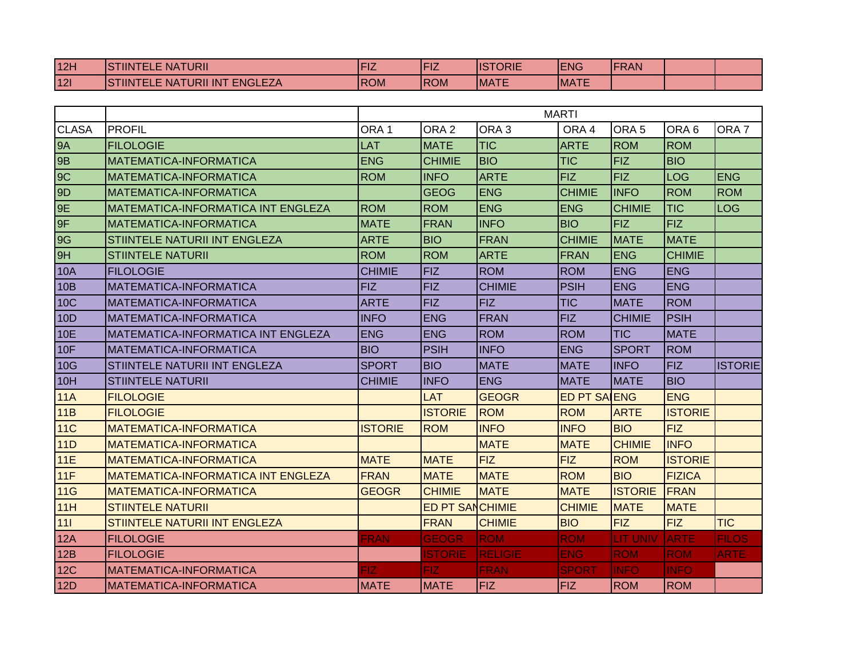| 12H        | <b>STIINTELE NATURII</b>                       | - 14        | <b>Provide</b><br>ΊZ | <b>ISTORIE</b> | <b>ENG</b>   | <b>FRAN</b> |  |
|------------|------------------------------------------------|-------------|----------------------|----------------|--------------|-------------|--|
| <b>12l</b> | <b>ENGLEZA</b><br><b>STIINTELE NATURII INT</b> | <b>IROM</b> | <b>ROM</b>           | <b>IMATE</b>   | <b>IMATE</b> |             |  |

|                 |                                           |                  |                        |                  | <b>MARTI</b>        |                  |                  |                  |
|-----------------|-------------------------------------------|------------------|------------------------|------------------|---------------------|------------------|------------------|------------------|
| <b>CLASA</b>    | <b>PROFIL</b>                             | ORA <sub>1</sub> | ORA <sub>2</sub>       | ORA <sub>3</sub> | ORA 4               | ORA <sub>5</sub> | ORA <sub>6</sub> | ORA <sub>7</sub> |
| <b>9A</b>       | <b>FILOLOGIE</b>                          | <b>LAT</b>       | <b>MATE</b>            | <b>TIC</b>       | <b>ARTE</b>         | <b>ROM</b>       | <b>ROM</b>       |                  |
| 9B              | <b>MATEMATICA-INFORMATICA</b>             | <b>ENG</b>       | <b>CHIMIE</b>          | <b>BIO</b>       | <b>TIC</b>          | <b>FIZ</b>       | <b>BIO</b>       |                  |
| 9C              | MATEMATICA-INFORMATICA                    | <b>ROM</b>       | <b>INFO</b>            | <b>ARTE</b>      | <b>FIZ</b>          | <b>FIZ</b>       | <b>LOG</b>       | <b>ENG</b>       |
| 9D              | <b>MATEMATICA-INFORMATICA</b>             |                  | <b>GEOG</b>            | <b>ENG</b>       | <b>CHIMIE</b>       | <b>INFO</b>      | <b>ROM</b>       | <b>ROM</b>       |
| 9E              | <b>MATEMATICA-INFORMATICA INT ENGLEZA</b> | <b>ROM</b>       | <b>ROM</b>             | <b>ENG</b>       | <b>ENG</b>          | <b>CHIMIE</b>    | <b>TIC</b>       | LOG              |
| 9F              | MATEMATICA-INFORMATICA                    | <b>MATE</b>      | <b>FRAN</b>            | <b>INFO</b>      | <b>BIO</b>          | <b>FIZ</b>       | <b>FIZ</b>       |                  |
| 9G              | STIINTELE NATURII INT ENGLEZA             | <b>ARTE</b>      | <b>BIO</b>             | <b>FRAN</b>      | <b>CHIMIE</b>       | <b>MATE</b>      | <b>MATE</b>      |                  |
| 9H              | <b>STIINTELE NATURII</b>                  | <b>ROM</b>       | <b>ROM</b>             | <b>ARTE</b>      | <b>FRAN</b>         | <b>ENG</b>       | <b>CHIMIE</b>    |                  |
| <b>10A</b>      | <b>FILOLOGIE</b>                          | <b>CHIMIE</b>    | <b>FIZ</b>             | <b>ROM</b>       | <b>ROM</b>          | <b>ENG</b>       | <b>ENG</b>       |                  |
| 10B             | MATEMATICA-INFORMATICA                    | <b>FIZ</b>       | <b>FIZ</b>             | <b>CHIMIE</b>    | <b>PSIH</b>         | <b>ENG</b>       | <b>ENG</b>       |                  |
| <b>10C</b>      | MATEMATICA-INFORMATICA                    | <b>ARTE</b>      | <b>FIZ</b>             | <b>FIZ</b>       | <b>TIC</b>          | <b>MATE</b>      | <b>ROM</b>       |                  |
| 10 <sub>D</sub> | MATEMATICA-INFORMATICA                    | <b>INFO</b>      | <b>ENG</b>             | <b>FRAN</b>      | <b>FIZ</b>          | <b>CHIMIE</b>    | <b>PSIH</b>      |                  |
| 10E             | <b>MATEMATICA-INFORMATICA INT ENGLEZA</b> | <b>ENG</b>       | <b>ENG</b>             | <b>ROM</b>       | <b>ROM</b>          | <b>TIC</b>       | <b>MATE</b>      |                  |
| 10F             | MATEMATICA-INFORMATICA                    | <b>BIO</b>       | <b>PSIH</b>            | <b>INFO</b>      | <b>ENG</b>          | <b>SPORT</b>     | <b>ROM</b>       |                  |
| 10G             | STIINTELE NATURII INT ENGLEZA             | <b>SPORT</b>     | <b>BIO</b>             | <b>MATE</b>      | <b>MATE</b>         | <b>INFO</b>      | <b>FIZ</b>       | <b>ISTORIE</b>   |
| 10H             | <b>STIINTELE NATURII</b>                  | <b>CHIMIE</b>    | <b>INFO</b>            | <b>ENG</b>       | <b>MATE</b>         | <b>MATE</b>      | <b>BIO</b>       |                  |
| 11A             | <b>FILOLOGIE</b>                          |                  | <b>LAT</b>             | <b>GEOGR</b>     | <b>ED PT SALENG</b> |                  | <b>ENG</b>       |                  |
| 11B             | <b>FILOLOGIE</b>                          |                  | <b>ISTORIE</b>         | <b>ROM</b>       | <b>ROM</b>          | <b>ARTE</b>      | <b>ISTORIE</b>   |                  |
| <b>11C</b>      | <b>MATEMATICA-INFORMATICA</b>             | <b>ISTORIE</b>   | <b>ROM</b>             | <b>INFO</b>      | <b>INFO</b>         | <b>BIO</b>       | <b>FIZ</b>       |                  |
| 11D             | <b>MATEMATICA-INFORMATICA</b>             |                  |                        | <b>MATE</b>      | <b>MATE</b>         | <b>CHIMIE</b>    | <b>INFO</b>      |                  |
| 11E             | MATEMATICA-INFORMATICA                    | <b>MATE</b>      | <b>MATE</b>            | <b>FIZ</b>       | <b>FIZ</b>          | <b>ROM</b>       | <b>ISTORIE</b>   |                  |
| 11F             | <b>MATEMATICA-INFORMATICA INT ENGLEZA</b> | <b>FRAN</b>      | <b>MATE</b>            | <b>MATE</b>      | <b>ROM</b>          | <b>BIO</b>       | <b>FIZICA</b>    |                  |
| 11G             | <b>MATEMATICA-INFORMATICA</b>             | <b>GEOGR</b>     | <b>CHIMIE</b>          | <b>MATE</b>      | <b>MATE</b>         | <b>ISTORIE</b>   | <b>FRAN</b>      |                  |
| 11H             | <b>STIINTELE NATURII</b>                  |                  | <b>ED PT SANCHIMIE</b> |                  | <b>CHIMIE</b>       | <b>MATE</b>      | <b>MATE</b>      |                  |
| $111$           | <b>STIINTELE NATURII INT ENGLEZA</b>      |                  | <b>FRAN</b>            | <b>CHIMIE</b>    | <b>BIO</b>          | <b>FIZ</b>       | <b>FIZ</b>       | <b>TIC</b>       |
| 12A             | <b>FILOLOGIE</b>                          | FRAN             | <b>GEOGR</b>           | <b>ROM</b>       | <b>ROM</b>          | LIT UNIV         | <b>ARTE</b>      | <b>FILOS</b>     |
| 12B             | <b>FILOLOGIE</b>                          |                  | <b>ISTORIE</b>         | <b>RELIGIE</b>   | <b>ENG</b>          | <b>ROM</b>       | <b>ROM</b>       | <b>ARTE</b>      |
| 12C             | <b>MATEMATICA-INFORMATICA</b>             | FIZ              | FIZ.                   | <b>FRAN</b>      | <b>SPORT</b>        | <b>INFO</b>      | <b>INFO</b>      |                  |
| 12D             | MATEMATICA-INFORMATICA                    | <b>MATE</b>      | <b>MATE</b>            | <b>FIZ</b>       | FIZ.                | <b>ROM</b>       | <b>ROM</b>       |                  |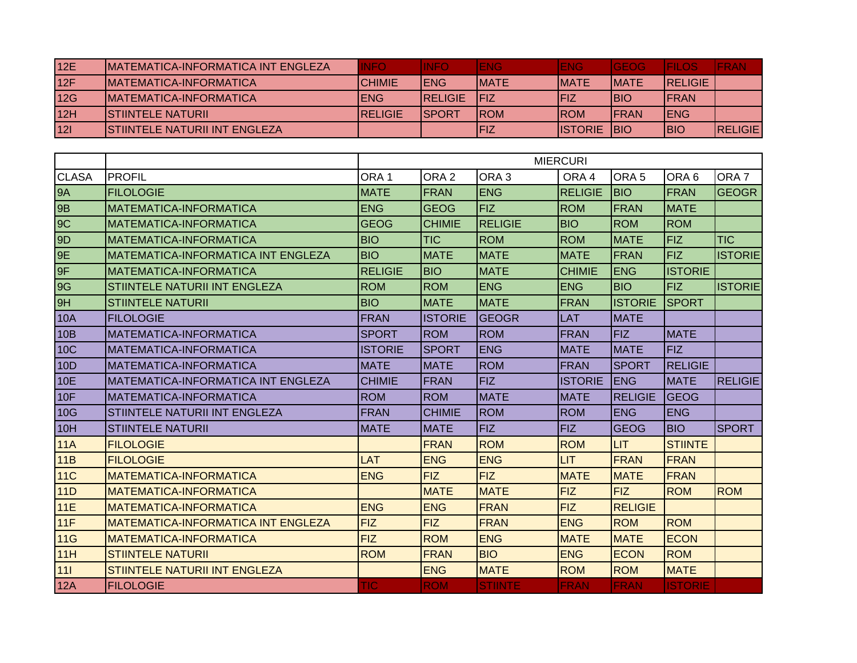| 12E | IMATEMATICA-INFORMATICA INT ENGLEZA  | <b>INFO</b>     | <b>INFO</b>     | <b>ENG</b>   | <b>IENG</b>     | <b>IGEOG</b> | <b>JEILOS7</b> | <b>IFRAN</b>    |
|-----|--------------------------------------|-----------------|-----------------|--------------|-----------------|--------------|----------------|-----------------|
| 12F | IMATEMATICA-INFORMATICA              | <b>CHIMIE</b>   | <b>IENG</b>     | <b>IMATE</b> | <b>IMATE</b>    | <b>IMATE</b> | <b>RELIGIE</b> |                 |
| 12G | IMATEMATICA-INFORMATICA              | IENG            | <b>IRELIGIE</b> | IFIZ         | IFIZ            | <b>IBIO</b>  | <b>IFRAN</b>   |                 |
| 12H | <b>ISTIINTELE NATURII</b>            | <b>IRELIGIE</b> | <b>ISPORT</b>   | <b>IROM</b>  | <b>IROM</b>     | <b>IFRAN</b> | <b>IENG</b>    |                 |
| 121 | <b>STIINTELE NATURII INT ENGLEZA</b> |                 |                 | <b>FIZ</b>   | <b>IISTORIE</b> | <b>IBIO</b>  | IBIO           | <b>IRELIGIE</b> |

|                |                                           |                  | <b>MIERCURI</b>  |                  |                |                  |                  |                  |  |  |
|----------------|-------------------------------------------|------------------|------------------|------------------|----------------|------------------|------------------|------------------|--|--|
| <b>CLASA</b>   | <b>PROFIL</b>                             | ORA <sub>1</sub> | ORA <sub>2</sub> | ORA <sub>3</sub> | ORA 4          | ORA <sub>5</sub> | ORA <sub>6</sub> | ORA <sub>7</sub> |  |  |
| <b>9A</b>      | <b>FILOLOGIE</b>                          | <b>MATE</b>      | <b>FRAN</b>      | <b>ENG</b>       | <b>RELIGIE</b> | <b>BIO</b>       | <b>FRAN</b>      | <b>GEOGR</b>     |  |  |
| <b>9B</b>      | MATEMATICA-INFORMATICA                    | <b>ENG</b>       | <b>GEOG</b>      | <b>FIZ</b>       | <b>ROM</b>     | FRAN             | <b>MATE</b>      |                  |  |  |
| 9C             | MATEMATICA-INFORMATICA                    | <b>GEOG</b>      | <b>CHIMIE</b>    | <b>RELIGIE</b>   | <b>BIO</b>     | <b>ROM</b>       | <b>ROM</b>       |                  |  |  |
| 9 <sub>D</sub> | <b>MATEMATICA-INFORMATICA</b>             | <b>BIO</b>       | <b>TIC</b>       | <b>ROM</b>       | <b>ROM</b>     | <b>MATE</b>      | <b>FIZ</b>       | <b>TIC</b>       |  |  |
| 9E             | <b>MATEMATICA-INFORMATICA INT ENGLEZA</b> | <b>BIO</b>       | <b>MATE</b>      | <b>MATE</b>      | <b>MATE</b>    | FRAN             | <b>FIZ</b>       | <b>ISTORIE</b>   |  |  |
| 9F             | MATEMATICA-INFORMATICA                    | <b>RELIGIE</b>   | <b>BIO</b>       | <b>MATE</b>      | <b>CHIMIE</b>  | <b>ENG</b>       | <b>ISTORIE</b>   |                  |  |  |
| 9G             | STIINTELE NATURII INT ENGLEZA             | <b>ROM</b>       | <b>ROM</b>       | <b>ENG</b>       | <b>ENG</b>     | <b>BIO</b>       | <b>FIZ</b>       | <b>ISTORIE</b>   |  |  |
| 9H             | <b>STIINTELE NATURII</b>                  | <b>BIO</b>       | <b>MATE</b>      | <b>MATE</b>      | <b>FRAN</b>    | <b>ISTORIE</b>   | <b>SPORT</b>     |                  |  |  |
| <b>10A</b>     | <b>FILOLOGIE</b>                          | <b>FRAN</b>      | <b>ISTORIE</b>   | <b>GEOGR</b>     | <b>LAT</b>     | <b>MATE</b>      |                  |                  |  |  |
| 10B            | MATEMATICA-INFORMATICA                    | <b>SPORT</b>     | <b>ROM</b>       | <b>ROM</b>       | <b>FRAN</b>    | <b>FIZ</b>       | <b>MATE</b>      |                  |  |  |
| <b>10C</b>     | <b>MATEMATICA-INFORMATICA</b>             | <b>ISTORIE</b>   | <b>SPORT</b>     | <b>ENG</b>       | <b>MATE</b>    | <b>MATE</b>      | <b>FIZ</b>       |                  |  |  |
| 10D            | MATEMATICA-INFORMATICA                    | <b>MATE</b>      | <b>MATE</b>      | <b>ROM</b>       | <b>FRAN</b>    | <b>SPORT</b>     | <b>RELIGIE</b>   |                  |  |  |
| <b>10E</b>     | <b>MATEMATICA-INFORMATICA INT ENGLEZA</b> | <b>CHIMIE</b>    | <b>FRAN</b>      | <b>FIZ</b>       | <b>ISTORIE</b> | <b>ENG</b>       | <b>MATE</b>      | <b>RELIGIE</b>   |  |  |
| 10F            | <b>MATEMATICA-INFORMATICA</b>             | <b>ROM</b>       | <b>ROM</b>       | <b>MATE</b>      | <b>MATE</b>    | <b>RELIGIE</b>   | GEOG             |                  |  |  |
| 10G            | STIINTELE NATURII INT ENGLEZA             | <b>FRAN</b>      | <b>CHIMIE</b>    | <b>ROM</b>       | <b>ROM</b>     | <b>ENG</b>       | <b>ENG</b>       |                  |  |  |
| 10H            | <b>STIINTELE NATURII</b>                  | <b>MATE</b>      | <b>MATE</b>      | <b>FIZ</b>       | <b>FIZ</b>     | <b>GEOG</b>      | <b>BIO</b>       | <b>SPORT</b>     |  |  |
| 11A            | <b>FILOLOGIE</b>                          |                  | <b>FRAN</b>      | <b>ROM</b>       | <b>ROM</b>     | <b>LIT</b>       | <b>STIINTE</b>   |                  |  |  |
| 11B            | <b>FILOLOGIE</b>                          | LAT              | <b>ENG</b>       | <b>ENG</b>       | <b>LIT</b>     | <b>FRAN</b>      | <b>FRAN</b>      |                  |  |  |
| <b>11C</b>     | <b>MATEMATICA-INFORMATICA</b>             | <b>ENG</b>       | <b>FIZ</b>       | <b>FIZ</b>       | <b>MATE</b>    | <b>MATE</b>      | <b>FRAN</b>      |                  |  |  |
| 11D            | <b>MATEMATICA-INFORMATICA</b>             |                  | <b>MATE</b>      | <b>MATE</b>      | <b>FIZ</b>     | <b>FIZ</b>       | <b>ROM</b>       | <b>ROM</b>       |  |  |
| 11E            | <b>MATEMATICA-INFORMATICA</b>             | <b>ENG</b>       | <b>ENG</b>       | <b>FRAN</b>      | <b>FIZ</b>     | <b>RELIGIE</b>   |                  |                  |  |  |
| 11F            | <b>MATEMATICA-INFORMATICA INT ENGLEZA</b> | <b>FIZ</b>       | <b>FIZ</b>       | <b>FRAN</b>      | <b>ENG</b>     | <b>ROM</b>       | <b>ROM</b>       |                  |  |  |
| 11G            | <b>MATEMATICA-INFORMATICA</b>             | <b>FIZ</b>       | <b>ROM</b>       | <b>ENG</b>       | <b>MATE</b>    | <b>MATE</b>      | <b>ECON</b>      |                  |  |  |
| 11H            | <b>STIINTELE NATURII</b>                  | <b>ROM</b>       | <b>FRAN</b>      | <b>BIO</b>       | <b>ENG</b>     | <b>ECON</b>      | <b>ROM</b>       |                  |  |  |
| 111            | <b>STIINTELE NATURII INT ENGLEZA</b>      |                  | <b>ENG</b>       | <b>MATE</b>      | <b>ROM</b>     | <b>ROM</b>       | <b>MATE</b>      |                  |  |  |
| 12A            | <b>FILOLOGIE</b>                          | <b>TIC</b>       | <b>ROM</b>       | <b>STIINTE</b>   | <b>FRAN</b>    | <b>FRAN</b>      | <b>ISTORIE</b>   |                  |  |  |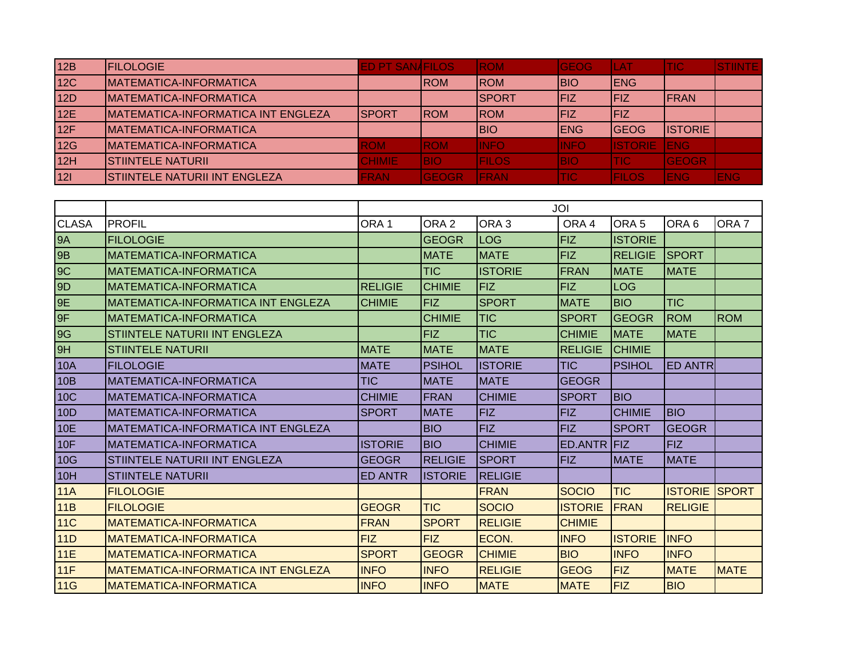| 12B        | <b>IFILOLOGIE</b>                         | <b>ED PT SANAFILOS</b> |               | <b>ROM</b>   | <b>GEOG</b> | LAT             | <b>TIC</b>     | ISTINTE:    |
|------------|-------------------------------------------|------------------------|---------------|--------------|-------------|-----------------|----------------|-------------|
| <b>12C</b> | <b>MATEMATICA-INFORMATICA</b>             |                        | <b>ROM</b>    | <b>IROM</b>  | <b>BIO</b>  | <b>IENG</b>     |                |             |
| 12D        | <b>MATEMATICA-INFORMATICA</b>             |                        |               | <b>SPORT</b> | IFIZ        | <b>IFIZ</b>     | <b>IFRAN</b>   |             |
| 12E        | <b>MATEMATICA-INFORMATICA INT ENGLEZA</b> | ISPORT                 | <b>IROM</b>   | <b>IROM</b>  | <b>FIZ</b>  | <b>IFIZ</b>     |                |             |
| 12F        | <b>MATEMATICA-INFORMATICA</b>             |                        |               | <b>BIO</b>   | <b>IENG</b> | <b>IGEOG</b>    | <b>ISTORIE</b> |             |
| 12G        | <b>IMATEMATICA-INFORMATICA</b>            | <b>ROM</b>             | <b>ROM</b>    | <b>INFO</b>  | <b>INFO</b> | <b>IISTORIE</b> | <b>JENG</b>    |             |
| 12H        | <b>ISTIINTELE NATURII</b>                 | <b>CHIMIE</b>          | <b>BIO</b>    | <b>FILOS</b> | <b>BIO</b>  | <b>TIC</b>      | <b>GEOGR</b>   |             |
| 121        | STIINTELE NATURII INT ENGLEZA             | <b>FRAN</b>            | <b>IGEOGR</b> | <b>FRAN</b>  | <b>ITIC</b> | <b>IFILOS</b>   | <b>ENG</b>     | <b>IENG</b> |

|              |                                           |                  |                  |                  | JOI              |                  |                  |                  |
|--------------|-------------------------------------------|------------------|------------------|------------------|------------------|------------------|------------------|------------------|
| <b>CLASA</b> | <b>PROFIL</b>                             | ORA <sub>1</sub> | ORA <sub>2</sub> | ORA <sub>3</sub> | ORA <sub>4</sub> | ORA <sub>5</sub> | ORA <sub>6</sub> | ORA <sub>7</sub> |
| <b>9A</b>    | <b>FILOLOGIE</b>                          |                  | <b>GEOGR</b>     | LOG              | <b>FIZ</b>       | <b>ISTORIE</b>   |                  |                  |
| <b>9B</b>    | <b>MATEMATICA-INFORMATICA</b>             |                  | <b>MATE</b>      | <b>MATE</b>      | FIZ.             | <b>RELIGIE</b>   | <b>SPORT</b>     |                  |
| 9C           | MATEMATICA-INFORMATICA                    |                  | <b>TIC</b>       | <b>ISTORIE</b>   | <b>FRAN</b>      | <b>MATE</b>      | <b>MATE</b>      |                  |
| 9D           | <b>MATEMATICA-INFORMATICA</b>             | <b>RELIGIE</b>   | <b>CHIMIE</b>    | <b>FIZ</b>       | <b>FIZ</b>       | <b>LOG</b>       |                  |                  |
| 9E           | <b>MATEMATICA-INFORMATICA INT ENGLEZA</b> | <b>CHIMIE</b>    | <b>FIZ</b>       | <b>SPORT</b>     | <b>MATE</b>      | <b>BIO</b>       | <b>TIC</b>       |                  |
| 9F           | <b>MATEMATICA-INFORMATICA</b>             |                  | <b>CHIMIE</b>    | <b>TIC</b>       | <b>SPORT</b>     | <b>GEOGR</b>     | <b>ROM</b>       | <b>ROM</b>       |
| <b>9G</b>    | STIINTELE NATURII INT ENGLEZA             |                  | <b>FIZ</b>       | <b>TIC</b>       | <b>CHIMIE</b>    | <b>MATE</b>      | <b>MATE</b>      |                  |
| 9H           | <b>STIINTELE NATURII</b>                  | <b>MATE</b>      | <b>MATE</b>      | <b>MATE</b>      | <b>RELIGIE</b>   | <b>CHIMIE</b>    |                  |                  |
| <b>10A</b>   | <b>FILOLOGIE</b>                          | <b>MATE</b>      | <b>PSIHOL</b>    | <b>ISTORIE</b>   | <b>TIC</b>       | <b>PSIHOL</b>    | <b>ED ANTRI</b>  |                  |
| 10B          | <b>MATEMATICA-INFORMATICA</b>             | <b>TIC</b>       | <b>MATE</b>      | <b>MATE</b>      | <b>GEOGR</b>     |                  |                  |                  |
| <b>10C</b>   | MATEMATICA-INFORMATICA                    | <b>CHIMIE</b>    | <b>FRAN</b>      | <b>CHIMIE</b>    | <b>SPORT</b>     | <b>BIO</b>       |                  |                  |
| 10D          | <b>MATEMATICA-INFORMATICA</b>             | <b>SPORT</b>     | <b>MATE</b>      | <b>IFIZ</b>      | FIZ.             | <b>CHIMIE</b>    | <b>BIO</b>       |                  |
| <b>10E</b>   | <b>MATEMATICA-INFORMATICA INT ENGLEZA</b> |                  | <b>BIO</b>       | <b>FIZ</b>       | <b>FIZ</b>       | <b>SPORT</b>     | <b>GEOGR</b>     |                  |
| 10F          | <b>MATEMATICA-INFORMATICA</b>             | <b>ISTORIE</b>   | <b>BIO</b>       | <b>CHIMIE</b>    | ED.ANTR FIZ      |                  | <b>FIZ</b>       |                  |
| 10G          | STIINTELE NATURII INT ENGLEZA             | <b>GEOGR</b>     | <b>RELIGIE</b>   | <b>SPORT</b>     | <b>FIZ</b>       | <b>MATE</b>      | <b>MATE</b>      |                  |
| 10H          | <b>STIINTELE NATURII</b>                  | <b>ED ANTR</b>   | <b>ISTORIE</b>   | <b>RELIGIE</b>   |                  |                  |                  |                  |
| <b>11A</b>   | <b>FILOLOGIE</b>                          |                  |                  | <b>FRAN</b>      | <b>SOCIO</b>     | <b>TIC</b>       | <b>ISTORIE</b>   | <b>ISPORT</b>    |
| 11B          | <b>FILOLOGIE</b>                          | <b>GEOGR</b>     | <b>TIC</b>       | <b>SOCIO</b>     | <b>ISTORIE</b>   | <b>FRAN</b>      | <b>RELIGIE</b>   |                  |
| <b>11C</b>   | <b>MATEMATICA-INFORMATICA</b>             | <b>FRAN</b>      | <b>SPORT</b>     | <b>RELIGIE</b>   | <b>CHIMIE</b>    |                  |                  |                  |
| <b>11D</b>   | <b>MATEMATICA-INFORMATICA</b>             | <b>FIZ</b>       | <b>FIZ</b>       | ECON.            | <b>INFO</b>      | <b>ISTORIE</b>   | <b>INFO</b>      |                  |
| 11E          | <b>MATEMATICA-INFORMATICA</b>             | <b>SPORT</b>     | <b>GEOGR</b>     | <b>CHIMIE</b>    | <b>BIO</b>       | <b>INFO</b>      | <b>INFO</b>      |                  |
| 11F          | <b>MATEMATICA-INFORMATICA INT ENGLEZA</b> | <b>INFO</b>      | <b>INFO</b>      | <b>RELIGIE</b>   | <b>GEOG</b>      | <b>FIZ</b>       | <b>MATE</b>      | <b>MATE</b>      |
| 11G          | <b>MATEMATICA-INFORMATICA</b>             | <b>INFO</b>      | <b>INFO</b>      | <b>MATE</b>      | <b>MATE</b>      | <b>FIZ</b>       | <b>BIO</b>       |                  |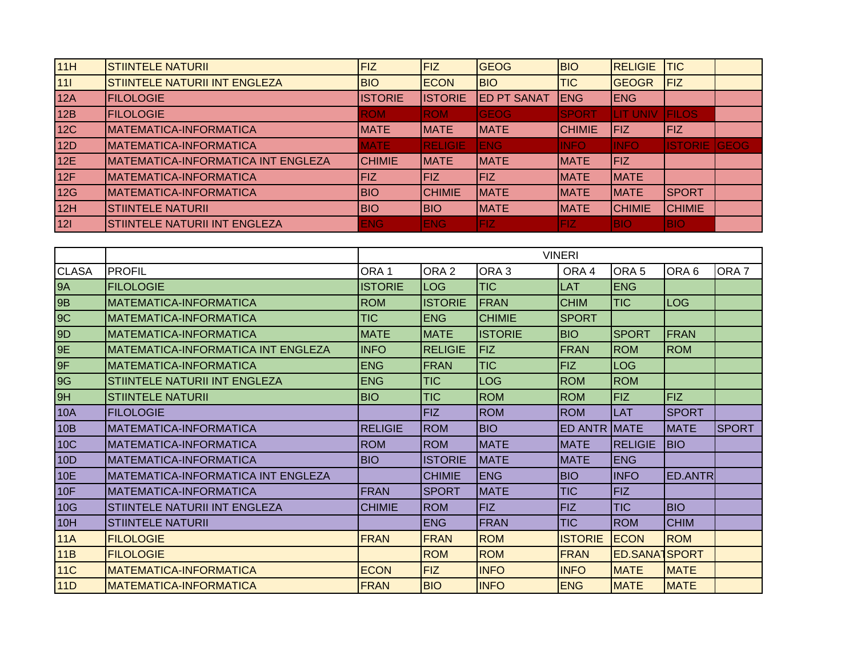| 11H   | <b>STIINTELE NATURII</b>                  | FIZ            | <b>FIZ</b>     | <b>GEOG</b>        | BIO           | <b>RELIGIE</b>  | <b>TIC</b>          |  |
|-------|-------------------------------------------|----------------|----------------|--------------------|---------------|-----------------|---------------------|--|
| $111$ | STIINTELE NATURII INT ENGLEZA             | <b>BIO</b>     | <b>ECON</b>    | <b>BIO</b>         | <b>TIC</b>    | <b>GEOGR</b>    | <b>FIZ</b>          |  |
| 12A   | <b>FILOLOGIE</b>                          | <b>ISTORIE</b> | <b>ISTORIE</b> | <b>ED PT SANAT</b> | <b>IENG</b>   | <b>ENG</b>      |                     |  |
| 12B   | <b>FILOLOGIE</b>                          | <b>ROM</b>     | <b>ROM</b>     | <b>GEOG</b>        | <b>SPORT</b>  | <b>LIT UNIV</b> | <b>IFILOS</b>       |  |
| 12C   | <b>MATEMATICA-INFORMATICA</b>             | <b>MATE</b>    | <b>IMATE</b>   | <b>IMATE</b>       | <b>CHIMIE</b> | <b>IFIZ</b>     | <b>FIZ</b>          |  |
| 12D   | <b>MATEMATICA-INFORMATICA</b>             | <b>MATE</b>    | <b>RELIGIE</b> | IENG               | <b>INFO</b>   | <b>IINFO</b>    | <b>ISTORIE GEOG</b> |  |
| 12E   | <b>MATEMATICA-INFORMATICA INT ENGLEZA</b> | <b>CHIMIE</b>  | <b>IMATE</b>   | <b>IMATE</b>       | <b>MATE</b>   | <b>IFIZ</b>     |                     |  |
| 12F   | <b>MATEMATICA-INFORMATICA</b>             | <b>IFIZ</b>    | <b>FIZ</b>     | <b>FIZ</b>         | <b>MATE</b>   | <b>MATE</b>     |                     |  |
| 12G   | <b>MATEMATICA-INFORMATICA</b>             | <b>BIO</b>     | <b>CHIMIE</b>  | <b>IMATE</b>       | <b>MATE</b>   | <b>IMATE</b>    | <b>ISPORT</b>       |  |
| 12H   | <b>STIINTELE NATURII</b>                  | <b>BIO</b>     | <b>BIO</b>     | <b>MATE</b>        | <b>MATE</b>   | <b>CHIMIE</b>   | <b>CHIMIE</b>       |  |
| 121   | STIINTELE NATURII INT ENGLEZA             | <b>ENG</b>     | <b>ENG</b>     | FIZ.               | FIZ           | <b>BIO</b>      | <b>BIO</b>          |  |

|                |                                           |                  |                  |                  | <b>VINERI</b>  |                      |                |                  |
|----------------|-------------------------------------------|------------------|------------------|------------------|----------------|----------------------|----------------|------------------|
| <b>CLASA</b>   | <b>PROFIL</b>                             | ORA <sub>1</sub> | ORA <sub>2</sub> | ORA <sub>3</sub> | ORA 4          | ORA <sub>5</sub>     | ORA 6          | ORA <sub>7</sub> |
| <b>9A</b>      | <b>FILOLOGIE</b>                          | <b>ISTORIE</b>   | <b>LOG</b>       | <b>TIC</b>       | LAT            | <b>ENG</b>           |                |                  |
| <b>9B</b>      | MATEMATICA-INFORMATICA                    | <b>ROM</b>       | <b>ISTORIE</b>   | FRAN             | <b>CHIM</b>    | <b>TIC</b>           | <b>LOG</b>     |                  |
| 9C             | MATEMATICA-INFORMATICA                    | <b>TIC</b>       | <b>ENG</b>       | <b>CHIMIE</b>    | <b>SPORT</b>   |                      |                |                  |
| 9 <sub>D</sub> | MATEMATICA-INFORMATICA                    | <b>MATE</b>      | <b>MATE</b>      | <b>ISTORIE</b>   | <b>BIO</b>     | <b>SPORT</b>         | FRAN           |                  |
| 9E             | <b>MATEMATICA-INFORMATICA INT ENGLEZA</b> | <b>INFO</b>      | <b>RELIGIE</b>   | <b>FIZ</b>       | <b>FRAN</b>    | <b>ROM</b>           | <b>ROM</b>     |                  |
| 9F             | <b>MATEMATICA-INFORMATICA</b>             | <b>ENG</b>       | FRAN             | <b>TIC</b>       | <b>FIZ</b>     | <b>LOG</b>           |                |                  |
| 9G             | STIINTELE NATURII INT ENGLEZA             | <b>ENG</b>       | <b>TIC</b>       | <b>LOG</b>       | <b>ROM</b>     | <b>ROM</b>           |                |                  |
| 9H             | <b>STIINTELE NATURII</b>                  | <b>BIO</b>       | <b>TIC</b>       | <b>ROM</b>       | <b>ROM</b>     | FIZ                  | FIZ            |                  |
| <b>10A</b>     | <b>FILOLOGIE</b>                          |                  | <b>FIZ</b>       | <b>ROM</b>       | <b>ROM</b>     | LAT                  | <b>SPORT</b>   |                  |
| 10B            | MATEMATICA-INFORMATICA                    | <b>RELIGIE</b>   | <b>ROM</b>       | <b>BIO</b>       | <b>ED ANTR</b> | <b>IMATE</b>         | <b>MATE</b>    | <b>SPORT</b>     |
| 10C            | MATEMATICA-INFORMATICA                    | <b>ROM</b>       | <b>ROM</b>       | <b>MATE</b>      | <b>MATE</b>    | <b>RELIGIE</b>       | <b>BIO</b>     |                  |
| 10D            | MATEMATICA-INFORMATICA                    | <b>BIO</b>       | <b>ISTORIE</b>   | <b>MATE</b>      | <b>MATE</b>    | <b>ENG</b>           |                |                  |
| <b>10E</b>     | MATEMATICA-INFORMATICA INT ENGLEZA        |                  | <b>CHIMIE</b>    | <b>ENG</b>       | <b>BIO</b>     | <b>INFO</b>          | <b>ED.ANTR</b> |                  |
| 10F            | MATEMATICA-INFORMATICA                    | <b>FRAN</b>      | <b>SPORT</b>     | <b>MATE</b>      | <b>TIC</b>     | <b>FIZ</b>           |                |                  |
| 10G            | STIINTELE NATURII INT ENGLEZA             | <b>CHIMIE</b>    | <b>ROM</b>       | <b>FIZ</b>       | <b>FIZ</b>     | <b>TIC</b>           | <b>BIO</b>     |                  |
| 10H            | <b>STIINTELE NATURII</b>                  |                  | <b>ENG</b>       | FRAN             | <b>TIC</b>     | <b>ROM</b>           | <b>CHIM</b>    |                  |
| <b>11A</b>     | <b>FILOLOGIE</b>                          | <b>FRAN</b>      | <b>FRAN</b>      | <b>ROM</b>       | <b>ISTORIE</b> | <b>ECON</b>          | <b>ROM</b>     |                  |
| 11B            | <b>FILOLOGIE</b>                          |                  | <b>ROM</b>       | <b>ROM</b>       | <b>FRAN</b>    | <b>ED.SANA1SPORT</b> |                |                  |
| <b>11C</b>     | <b>IMATEMATICA-INFORMATICA</b>            | <b>ECON</b>      | <b>FIZ</b>       | <b>INFO</b>      | <b>INFO</b>    | <b>MATE</b>          | <b>MATE</b>    |                  |
| 11D            | <b>IMATEMATICA-INFORMATICA</b>            | <b>FRAN</b>      | <b>BIO</b>       | <b>INFO</b>      | <b>ENG</b>     | <b>MATE</b>          | <b>MATE</b>    |                  |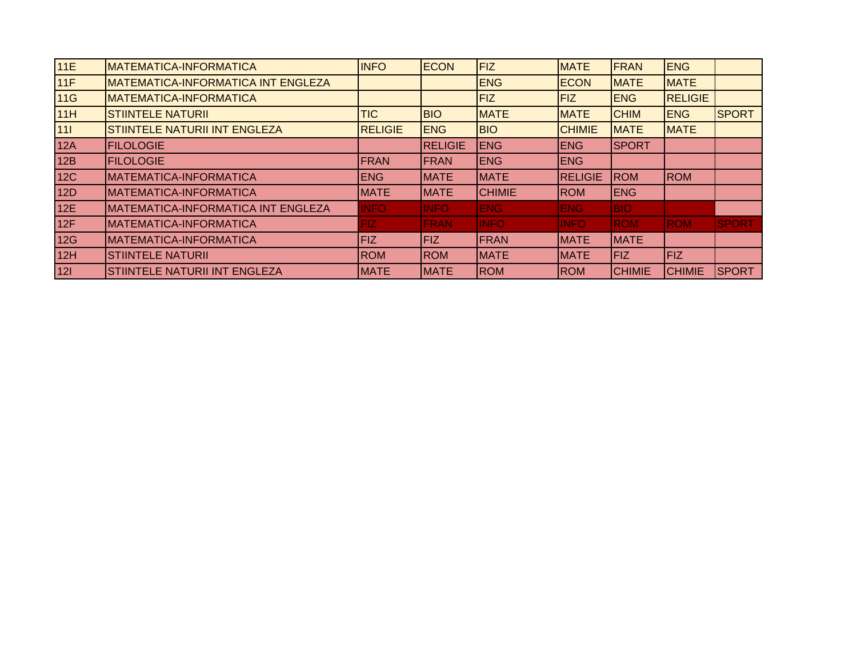| <b>MATEMATICA-INFORMATICA</b>             | <b>INFO</b> |                               |                                                                                                                     | <b>MATE</b>                                                                                                                                       | FRAN                                                                                                                               |                              |                                                                                                                    |
|-------------------------------------------|-------------|-------------------------------|---------------------------------------------------------------------------------------------------------------------|---------------------------------------------------------------------------------------------------------------------------------------------------|------------------------------------------------------------------------------------------------------------------------------------|------------------------------|--------------------------------------------------------------------------------------------------------------------|
| <b>MATEMATICA-INFORMATICA INT ENGLEZA</b> |             |                               |                                                                                                                     |                                                                                                                                                   |                                                                                                                                    |                              |                                                                                                                    |
| <b>MATEMATICA-INFORMATICA</b>             |             |                               | <b>FIZ</b>                                                                                                          | <b>FIZ</b>                                                                                                                                        | <b>ENG</b>                                                                                                                         |                              |                                                                                                                    |
| <b>STIINTELE NATURII</b>                  | <b>TIC</b>  | <b>BIO</b>                    |                                                                                                                     | <b>MATE</b>                                                                                                                                       | <b>CHIM</b>                                                                                                                        |                              | <b>SPORT</b>                                                                                                       |
| <b>STIINTELE NATURII INT ENGLEZA</b>      |             | <b>ENG</b>                    |                                                                                                                     | <b>CHIMIE</b>                                                                                                                                     | <b>MATE</b>                                                                                                                        |                              |                                                                                                                    |
| <b>FILOLOGIE</b>                          |             |                               | <b>ENG</b>                                                                                                          |                                                                                                                                                   | ISPORT                                                                                                                             |                              |                                                                                                                    |
| <b>FILOLOGIE</b>                          |             |                               |                                                                                                                     |                                                                                                                                                   |                                                                                                                                    |                              |                                                                                                                    |
| <b>MATEMATICA-INFORMATICA</b>             | <b>ENG</b>  |                               |                                                                                                                     |                                                                                                                                                   | <b>ROM</b>                                                                                                                         |                              |                                                                                                                    |
| IMATEMATICA-INFORMATICA                   | <b>MATE</b> |                               |                                                                                                                     |                                                                                                                                                   | <b>ENG</b>                                                                                                                         |                              |                                                                                                                    |
| MATEMATICA-INFORMATICA INT ENGLEZA        | <b>INFO</b> | <b>INFO</b>                   | <b>ENG</b>                                                                                                          |                                                                                                                                                   | <b>BIO</b>                                                                                                                         |                              |                                                                                                                    |
| <b>MATEMATICA-INFORMATICA</b>             | FIZ         | <b>FRAN</b>                   | <b>INFO</b>                                                                                                         | <b>INFO</b>                                                                                                                                       | <b>ROM</b>                                                                                                                         |                              | <b>SPORT</b>                                                                                                       |
| IMATEMATICA-INFORMATICA                   | <b>FIZ</b>  |                               |                                                                                                                     |                                                                                                                                                   |                                                                                                                                    |                              |                                                                                                                    |
| <b>STIINTELE NATURII</b>                  | <b>ROM</b>  |                               |                                                                                                                     |                                                                                                                                                   | FIZ                                                                                                                                |                              |                                                                                                                    |
| STIINTELE NATURII INT ENGLEZA             | <b>MATE</b> |                               |                                                                                                                     |                                                                                                                                                   | <b>CHIMIE</b>                                                                                                                      | <b>CHIMIE</b>                | <b>SPORT</b>                                                                                                       |
|                                           |             | <b>RELIGIE</b><br><b>FRAN</b> | <b>ECON</b><br><b>IRELIGIE</b><br><b>IFRAN</b><br><b>MATE</b><br><b>IMATE</b><br>FIZ<br><b>IROM</b><br><b>IMATE</b> | <b>FIZ</b><br><b>ENG</b><br><b>MATE</b><br><b>BIO</b><br><b>IENG</b><br><b>MATE</b><br><b>CHIMIE</b><br><b>FRAN</b><br><b>MATE</b><br><b>IROM</b> | <b>ECON</b><br><b>ENG</b><br><b>ENG</b><br><b>RELIGIE</b><br><b>ROM</b><br><b>ENG</b><br><b>MATE</b><br><b>MATE</b><br><b>IROM</b> | <b>IMATE</b><br><b>IMATE</b> | <b>ENG</b><br><b>MATE</b><br><b>RELIGIE</b><br><b>ENG</b><br><b>MATE</b><br><b>ROM</b><br><b>ROM</b><br><b>FIZ</b> |